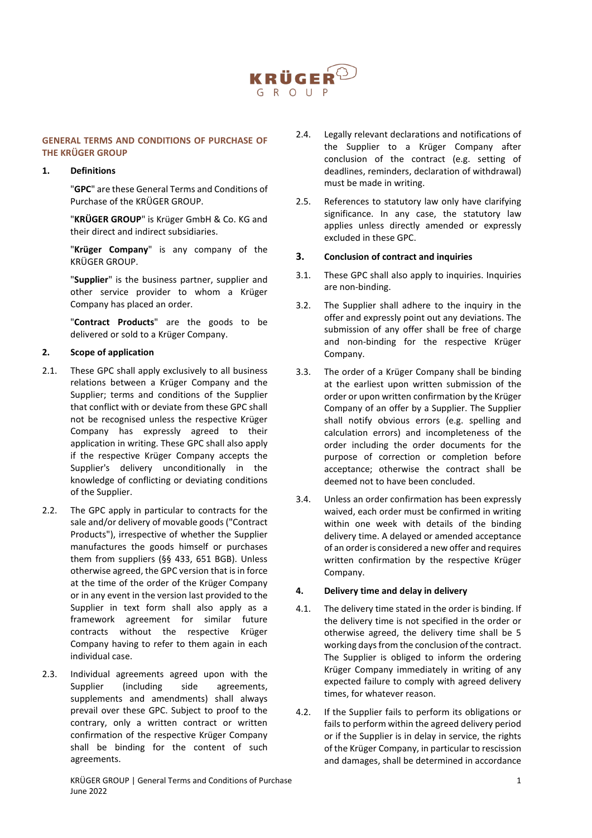

#### **GENERAL TERMS AND CONDITIONS OF PURCHASE OF THE KRÜGER GROUP**

#### **1. Definitions**

"**GPC**" are these General Terms and Conditions of Purchase of the KRÜGER GROUP.

"**KRÜGER GROUP**" is Krüger GmbH & Co. KG and their direct and indirect subsidiaries.

"**Krüger Company**" is any company of the KRÜGER GROUP.

"**Supplier**" is the business partner, supplier and other service provider to whom a Krüger Company has placed an order.

"**Contract Products**" are the goods to be delivered or sold to a Krüger Company.

# **2. Scope of application**

- 2.1. These GPC shall apply exclusively to all business relations between a Krüger Company and the Supplier; terms and conditions of the Supplier that conflict with or deviate from these GPC shall not be recognised unless the respective Krüger Company has expressly agreed to their application in writing. These GPC shall also apply if the respective Krüger Company accepts the Supplier's delivery unconditionally in the knowledge of conflicting or deviating conditions of the Supplier.
- 2.2. The GPC apply in particular to contracts for the sale and/or delivery of movable goods ("Contract Products"), irrespective of whether the Supplier manufactures the goods himself or purchases them from suppliers (§§ 433, 651 BGB). Unless otherwise agreed, the GPC version that is in force at the time of the order of the Krüger Company or in any event in the version last provided to the Supplier in text form shall also apply as a framework agreement for similar future contracts without the respective Krüger Company having to refer to them again in each individual case.
- 2.3. Individual agreements agreed upon with the Supplier (including side agreements, supplements and amendments) shall always prevail over these GPC. Subject to proof to the contrary, only a written contract or written confirmation of the respective Krüger Company shall be binding for the content of such agreements.
- 2.4. Legally relevant declarations and notifications of the Supplier to a Krüger Company after conclusion of the contract (e.g. setting of deadlines, reminders, declaration of withdrawal) must be made in writing.
- 2.5. References to statutory law only have clarifying significance. In any case, the statutory law applies unless directly amended or expressly excluded in these GPC.

## **3. Conclusion of contract and inquiries**

- 3.1. These GPC shall also apply to inquiries. Inquiries are non-binding.
- 3.2. The Supplier shall adhere to the inquiry in the offer and expressly point out any deviations. The submission of any offer shall be free of charge and non-binding for the respective Krüger Company.
- 3.3. The order of a Krüger Company shall be binding at the earliest upon written submission of the order or upon written confirmation by the Krüger Company of an offer by a Supplier. The Supplier shall notify obvious errors (e.g. spelling and calculation errors) and incompleteness of the order including the order documents for the purpose of correction or completion before acceptance; otherwise the contract shall be deemed not to have been concluded.
- 3.4. Unless an order confirmation has been expressly waived, each order must be confirmed in writing within one week with details of the binding delivery time. A delayed or amended acceptance of an order is considered a new offer and requires written confirmation by the respective Krüger Company.

## **4. Delivery time and delay in delivery**

- 4.1. The delivery time stated in the order is binding. If the delivery time is not specified in the order or otherwise agreed, the delivery time shall be 5 working days from the conclusion of the contract. The Supplier is obliged to inform the ordering Krüger Company immediately in writing of any expected failure to comply with agreed delivery times, for whatever reason.
- 4.2. If the Supplier fails to perform its obligations or fails to perform within the agreed delivery period or if the Supplier is in delay in service, the rights of the Krüger Company, in particular to rescission and damages, shall be determined in accordance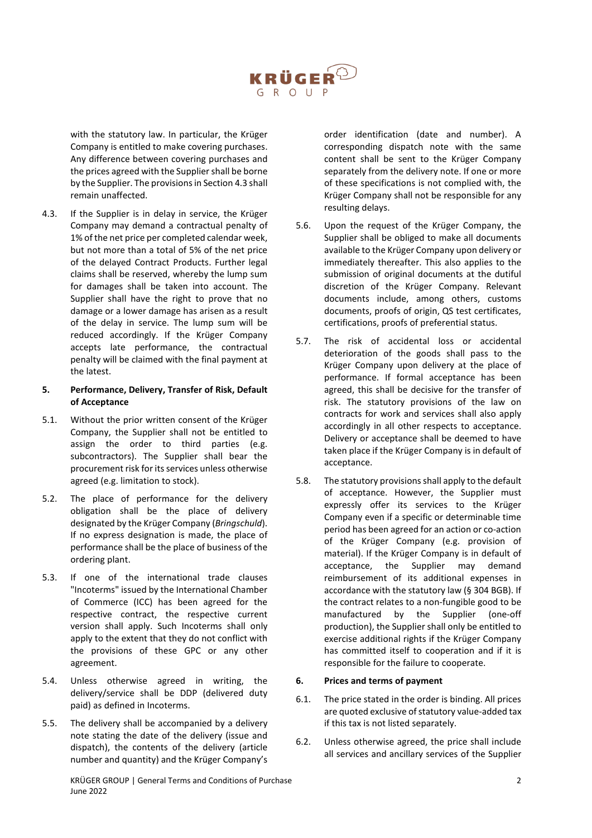

with the statutory law. In particular, the Krüger Company is entitled to make covering purchases. Any difference between covering purchases and the prices agreed with the Supplier shall be borne by the Supplier. The provisions in Section 4.3 shall remain unaffected.

4.3. If the Supplier is in delay in service, the Krüger Company may demand a contractual penalty of 1% of the net price per completed calendar week, but not more than a total of 5% of the net price of the delayed Contract Products. Further legal claims shall be reserved, whereby the lump sum for damages shall be taken into account. The Supplier shall have the right to prove that no damage or a lower damage has arisen as a result of the delay in service. The lump sum will be reduced accordingly. If the Krüger Company accepts late performance, the contractual penalty will be claimed with the final payment at the latest.

## **5. Performance, Delivery, Transfer of Risk, Default of Acceptance**

- 5.1. Without the prior written consent of the Krüger Company, the Supplier shall not be entitled to assign the order to third parties (e.g. subcontractors). The Supplier shall bear the procurement risk for its services unless otherwise agreed (e.g. limitation to stock).
- 5.2. The place of performance for the delivery obligation shall be the place of delivery designated by the Krüger Company (*Bringschuld*). If no express designation is made, the place of performance shall be the place of business of the ordering plant.
- 5.3. If one of the international trade clauses "Incoterms" issued by the International Chamber of Commerce (ICC) has been agreed for the respective contract, the respective current version shall apply. Such Incoterms shall only apply to the extent that they do not conflict with the provisions of these GPC or any other agreement.
- 5.4. Unless otherwise agreed in writing, the delivery/service shall be DDP (delivered duty paid) as defined in Incoterms.
- 5.5. The delivery shall be accompanied by a delivery note stating the date of the delivery (issue and dispatch), the contents of the delivery (article number and quantity) and the Krüger Company's

KRÜGER GROUP | General Terms and Conditions of Purchase 2 2 June 2022

order identification (date and number). A corresponding dispatch note with the same content shall be sent to the Krüger Company separately from the delivery note. If one or more of these specifications is not complied with, the Krüger Company shall not be responsible for any resulting delays.

- 5.6. Upon the request of the Krüger Company, the Supplier shall be obliged to make all documents available to the Krüger Company upon delivery or immediately thereafter. This also applies to the submission of original documents at the dutiful discretion of the Krüger Company. Relevant documents include, among others, customs documents, proofs of origin, QS test certificates, certifications, proofs of preferential status.
- 5.7. The risk of accidental loss or accidental deterioration of the goods shall pass to the Krüger Company upon delivery at the place of performance. If formal acceptance has been agreed, this shall be decisive for the transfer of risk. The statutory provisions of the law on contracts for work and services shall also apply accordingly in all other respects to acceptance. Delivery or acceptance shall be deemed to have taken place if the Krüger Company is in default of acceptance.
- 5.8. The statutory provisions shall apply to the default of acceptance. However, the Supplier must expressly offer its services to the Krüger Company even if a specific or determinable time period has been agreed for an action or co-action of the Krüger Company (e.g. provision of material). If the Krüger Company is in default of acceptance, the Supplier may demand reimbursement of its additional expenses in accordance with the statutory law (§ 304 BGB). If the contract relates to a non-fungible good to be manufactured by the Supplier (one-off production), the Supplier shall only be entitled to exercise additional rights if the Krüger Company has committed itself to cooperation and if it is responsible for the failure to cooperate.

## **6. Prices and terms of payment**

- 6.1. The price stated in the order is binding. All prices are quoted exclusive of statutory value-added tax if this tax is not listed separately.
- 6.2. Unless otherwise agreed, the price shall include all services and ancillary services of the Supplier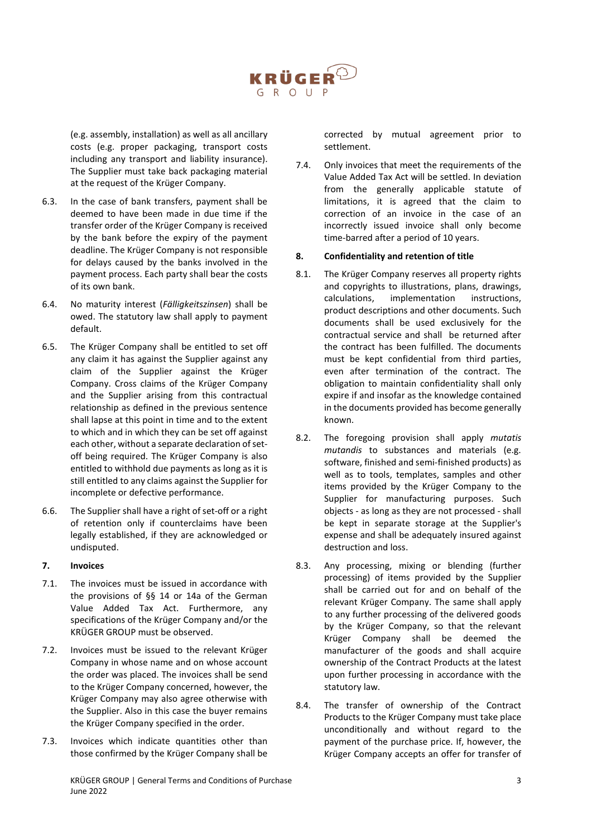

(e.g. assembly, installation) as well as all ancillary costs (e.g. proper packaging, transport costs including any transport and liability insurance). The Supplier must take back packaging material at the request of the Krüger Company.

- 6.3. In the case of bank transfers, payment shall be deemed to have been made in due time if the transfer order of the Krüger Company is received by the bank before the expiry of the payment deadline. The Krüger Company is not responsible for delays caused by the banks involved in the payment process. Each party shall bear the costs of its own bank.
- 6.4. No maturity interest (*Fälligkeitszinsen*) shall be owed. The statutory law shall apply to payment default.
- 6.5. The Krüger Company shall be entitled to set off any claim it has against the Supplier against any claim of the Supplier against the Krüger Company. Cross claims of the Krüger Company and the Supplier arising from this contractual relationship as defined in the previous sentence shall lapse at this point in time and to the extent to which and in which they can be set off against each other, without a separate declaration of setoff being required. The Krüger Company is also entitled to withhold due payments as long as it is still entitled to any claims against the Supplier for incomplete or defective performance.
- 6.6. The Supplier shall have a right of set-off or a right of retention only if counterclaims have been legally established, if they are acknowledged or undisputed.

## **7. Invoices**

- 7.1. The invoices must be issued in accordance with the provisions of §§ 14 or 14a of the German Value Added Tax Act. Furthermore, any specifications of the Krüger Company and/or the KRÜGER GROUP must be observed.
- 7.2. Invoices must be issued to the relevant Krüger Company in whose name and on whose account the order was placed. The invoices shall be send to the Krüger Company concerned, however, the Krüger Company may also agree otherwise with the Supplier. Also in this case the buyer remains the Krüger Company specified in the order.
- 7.3. Invoices which indicate quantities other than those confirmed by the Krüger Company shall be

corrected by mutual agreement prior to settlement.

7.4. Only invoices that meet the requirements of the Value Added Tax Act will be settled. In deviation from the generally applicable statute of limitations, it is agreed that the claim to correction of an invoice in the case of an incorrectly issued invoice shall only become time-barred after a period of 10 years.

## **8. Confidentiality and retention of title**

- 8.1. The Krüger Company reserves all property rights and copyrights to illustrations, plans, drawings, calculations, implementation instructions, product descriptions and other documents. Such documents shall be used exclusively for the contractual service and shall be returned after the contract has been fulfilled. The documents must be kept confidential from third parties, even after termination of the contract. The obligation to maintain confidentiality shall only expire if and insofar as the knowledge contained in the documents provided has become generally known.
- 8.2. The foregoing provision shall apply *mutatis mutandis* to substances and materials (e.g. software, finished and semi-finished products) as well as to tools, templates, samples and other items provided by the Krüger Company to the Supplier for manufacturing purposes. Such objects - as long as they are not processed - shall be kept in separate storage at the Supplier's expense and shall be adequately insured against destruction and loss.
- 8.3. Any processing, mixing or blending (further processing) of items provided by the Supplier shall be carried out for and on behalf of the relevant Krüger Company. The same shall apply to any further processing of the delivered goods by the Krüger Company, so that the relevant Krüger Company shall be deemed the manufacturer of the goods and shall acquire ownership of the Contract Products at the latest upon further processing in accordance with the statutory law.
- 8.4. The transfer of ownership of the Contract Products to the Krüger Company must take place unconditionally and without regard to the payment of the purchase price. If, however, the Krüger Company accepts an offer for transfer of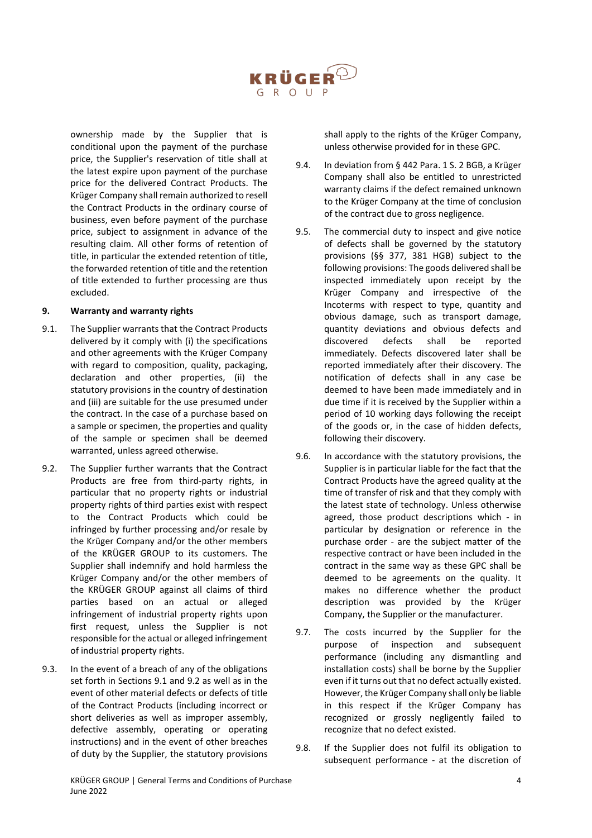

ownership made by the Supplier that is conditional upon the payment of the purchase price, the Supplier's reservation of title shall at the latest expire upon payment of the purchase price for the delivered Contract Products. The Krüger Company shall remain authorized to resell the Contract Products in the ordinary course of business, even before payment of the purchase price, subject to assignment in advance of the resulting claim. All other forms of retention of title, in particular the extended retention of title, the forwarded retention of title and the retention of title extended to further processing are thus excluded.

## **9. Warranty and warranty rights**

- 9.1. The Supplier warrants that the Contract Products delivered by it comply with (i) the specifications and other agreements with the Krüger Company with regard to composition, quality, packaging, declaration and other properties, (ii) the statutory provisions in the country of destination and (iii) are suitable for the use presumed under the contract. In the case of a purchase based on a sample or specimen, the properties and quality of the sample or specimen shall be deemed warranted, unless agreed otherwise.
- 9.2. The Supplier further warrants that the Contract Products are free from third-party rights, in particular that no property rights or industrial property rights of third parties exist with respect to the Contract Products which could be infringed by further processing and/or resale by the Krüger Company and/or the other members of the KRÜGER GROUP to its customers. The Supplier shall indemnify and hold harmless the Krüger Company and/or the other members of the KRÜGER GROUP against all claims of third parties based on an actual or alleged infringement of industrial property rights upon first request, unless the Supplier is not responsible for the actual or alleged infringement of industrial property rights.
- 9.3. In the event of a breach of any of the obligations set forth in Sections 9.1 and 9.2 as well as in the event of other material defects or defects of title of the Contract Products (including incorrect or short deliveries as well as improper assembly, defective assembly, operating or operating instructions) and in the event of other breaches of duty by the Supplier, the statutory provisions

shall apply to the rights of the Krüger Company, unless otherwise provided for in these GPC.

- 9.4. In deviation from § 442 Para. 1 S. 2 BGB, a Krüger Company shall also be entitled to unrestricted warranty claims if the defect remained unknown to the Krüger Company at the time of conclusion of the contract due to gross negligence.
- 9.5. The commercial duty to inspect and give notice of defects shall be governed by the statutory provisions (§§ 377, 381 HGB) subject to the following provisions: The goods delivered shall be inspected immediately upon receipt by the Krüger Company and irrespective of the Incoterms with respect to type, quantity and obvious damage, such as transport damage, quantity deviations and obvious defects and discovered defects shall be reported immediately. Defects discovered later shall be reported immediately after their discovery. The notification of defects shall in any case be deemed to have been made immediately and in due time if it is received by the Supplier within a period of 10 working days following the receipt of the goods or, in the case of hidden defects, following their discovery.
- 9.6. In accordance with the statutory provisions, the Supplier is in particular liable for the fact that the Contract Products have the agreed quality at the time of transfer of risk and that they comply with the latest state of technology. Unless otherwise agreed, those product descriptions which - in particular by designation or reference in the purchase order - are the subject matter of the respective contract or have been included in the contract in the same way as these GPC shall be deemed to be agreements on the quality. It makes no difference whether the product description was provided by the Krüger Company, the Supplier or the manufacturer.
- 9.7. The costs incurred by the Supplier for the purpose of inspection and subsequent performance (including any dismantling and installation costs) shall be borne by the Supplier even if it turns out that no defect actually existed. However, the Krüger Company shall only be liable in this respect if the Krüger Company has recognized or grossly negligently failed to recognize that no defect existed.
- 9.8. If the Supplier does not fulfil its obligation to subsequent performance - at the discretion of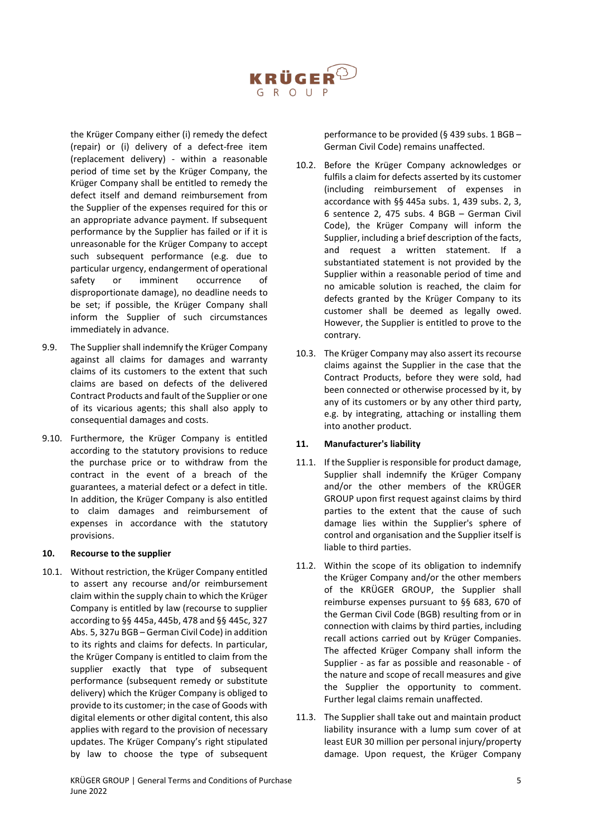

the Krüger Company either (i) remedy the defect (repair) or (i) delivery of a defect-free item (replacement delivery) - within a reasonable period of time set by the Krüger Company, the Krüger Company shall be entitled to remedy the defect itself and demand reimbursement from the Supplier of the expenses required for this or an appropriate advance payment. If subsequent performance by the Supplier has failed or if it is unreasonable for the Krüger Company to accept such subsequent performance (e.g. due to particular urgency, endangerment of operational safety or imminent occurrence of disproportionate damage), no deadline needs to be set; if possible, the Krüger Company shall inform the Supplier of such circumstances immediately in advance.

- 9.9. The Supplier shall indemnify the Krüger Company against all claims for damages and warranty claims of its customers to the extent that such claims are based on defects of the delivered Contract Products and fault of the Supplier or one of its vicarious agents; this shall also apply to consequential damages and costs.
- 9.10. Furthermore, the Krüger Company is entitled according to the statutory provisions to reduce the purchase price or to withdraw from the contract in the event of a breach of the guarantees, a material defect or a defect in title. In addition, the Krüger Company is also entitled to claim damages and reimbursement of expenses in accordance with the statutory provisions.

## **10. Recourse to the supplier**

10.1. Without restriction, the Krüger Company entitled to assert any recourse and/or reimbursement claim within the supply chain to which the Krüger Company is entitled by law (recourse to supplier according to §§ 445a, 445b, 478 and §§ 445c, 327 Abs. 5, 327u BGB – German Civil Code) in addition to its rights and claims for defects. In particular, the Krüger Company is entitled to claim from the supplier exactly that type of subsequent performance (subsequent remedy or substitute delivery) which the Krüger Company is obliged to provide to its customer; in the case of Goods with digital elements or other digital content, this also applies with regard to the provision of necessary updates. The Krüger Company's right stipulated by law to choose the type of subsequent

performance to be provided (§ 439 subs. 1 BGB – German Civil Code) remains unaffected.

- 10.2. Before the Krüger Company acknowledges or fulfils a claim for defects asserted by its customer (including reimbursement of expenses in accordance with §§ 445a subs. 1, 439 subs. 2, 3, 6 sentence 2, 475 subs. 4 BGB – German Civil Code), the Krüger Company will inform the Supplier, including a brief description of the facts, and request a written statement. If a substantiated statement is not provided by the Supplier within a reasonable period of time and no amicable solution is reached, the claim for defects granted by the Krüger Company to its customer shall be deemed as legally owed. However, the Supplier is entitled to prove to the contrary.
- 10.3. The Krüger Company may also assert its recourse claims against the Supplier in the case that the Contract Products, before they were sold, had been connected or otherwise processed by it, by any of its customers or by any other third party, e.g. by integrating, attaching or installing them into another product.

## **11. Manufacturer's liability**

- 11.1. If the Supplier is responsible for product damage, Supplier shall indemnify the Krüger Company and/or the other members of the KRÜGER GROUP upon first request against claims by third parties to the extent that the cause of such damage lies within the Supplier's sphere of control and organisation and the Supplier itself is liable to third parties.
- 11.2. Within the scope of its obligation to indemnify the Krüger Company and/or the other members of the KRÜGER GROUP, the Supplier shall reimburse expenses pursuant to §§ 683, 670 of the German Civil Code (BGB) resulting from or in connection with claims by third parties, including recall actions carried out by Krüger Companies. The affected Krüger Company shall inform the Supplier - as far as possible and reasonable - of the nature and scope of recall measures and give the Supplier the opportunity to comment. Further legal claims remain unaffected.
- 11.3. The Supplier shall take out and maintain product liability insurance with a lump sum cover of at least EUR 30 million per personal injury/property damage. Upon request, the Krüger Company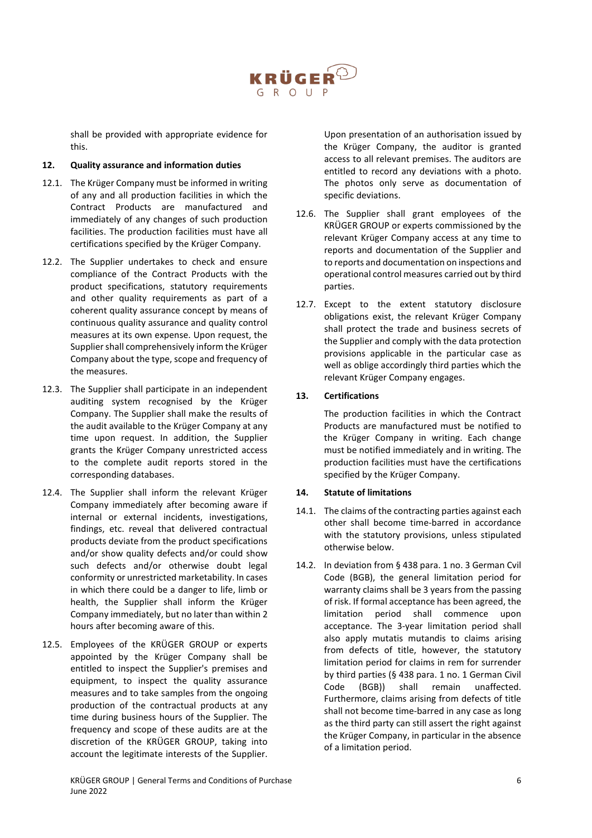

shall be provided with appropriate evidence for this.

## **12. Quality assurance and information duties**

- 12.1. The Krüger Company must be informed in writing of any and all production facilities in which the Contract Products are manufactured and immediately of any changes of such production facilities. The production facilities must have all certifications specified by the Krüger Company.
- 12.2. The Supplier undertakes to check and ensure compliance of the Contract Products with the product specifications, statutory requirements and other quality requirements as part of a coherent quality assurance concept by means of continuous quality assurance and quality control measures at its own expense. Upon request, the Supplier shall comprehensively inform the Krüger Company about the type, scope and frequency of the measures.
- 12.3. The Supplier shall participate in an independent auditing system recognised by the Krüger Company. The Supplier shall make the results of the audit available to the Krüger Company at any time upon request. In addition, the Supplier grants the Krüger Company unrestricted access to the complete audit reports stored in the corresponding databases.
- 12.4. The Supplier shall inform the relevant Krüger Company immediately after becoming aware if internal or external incidents, investigations, findings, etc. reveal that delivered contractual products deviate from the product specifications and/or show quality defects and/or could show such defects and/or otherwise doubt legal conformity or unrestricted marketability. In cases in which there could be a danger to life, limb or health, the Supplier shall inform the Krüger Company immediately, but no later than within 2 hours after becoming aware of this.
- 12.5. Employees of the KRÜGER GROUP or experts appointed by the Krüger Company shall be entitled to inspect the Supplier's premises and equipment, to inspect the quality assurance measures and to take samples from the ongoing production of the contractual products at any time during business hours of the Supplier. The frequency and scope of these audits are at the discretion of the KRÜGER GROUP, taking into account the legitimate interests of the Supplier.

Upon presentation of an authorisation issued by the Krüger Company, the auditor is granted access to all relevant premises. The auditors are entitled to record any deviations with a photo. The photos only serve as documentation of specific deviations.

- 12.6. The Supplier shall grant employees of the KRÜGER GROUP or experts commissioned by the relevant Krüger Company access at any time to reports and documentation of the Supplier and to reports and documentation on inspections and operational control measures carried out by third parties.
- 12.7. Except to the extent statutory disclosure obligations exist, the relevant Krüger Company shall protect the trade and business secrets of the Supplier and comply with the data protection provisions applicable in the particular case as well as oblige accordingly third parties which the relevant Krüger Company engages.

# **13. Certifications**

The production facilities in which the Contract Products are manufactured must be notified to the Krüger Company in writing. Each change must be notified immediately and in writing. The production facilities must have the certifications specified by the Krüger Company.

## **14. Statute of limitations**

- 14.1. The claims of the contracting parties against each other shall become time-barred in accordance with the statutory provisions, unless stipulated otherwise below.
- 14.2. In deviation from § 438 para. 1 no. 3 German Cvil Code (BGB), the general limitation period for warranty claims shall be 3 years from the passing of risk. If formal acceptance has been agreed, the limitation period shall commence upon acceptance. The 3-year limitation period shall also apply mutatis mutandis to claims arising from defects of title, however, the statutory limitation period for claims in rem for surrender by third parties (§ 438 para. 1 no. 1 German Civil Code (BGB)) shall remain unaffected. Furthermore, claims arising from defects of title shall not become time-barred in any case as long as the third party can still assert the right against the Krüger Company, in particular in the absence of a limitation period.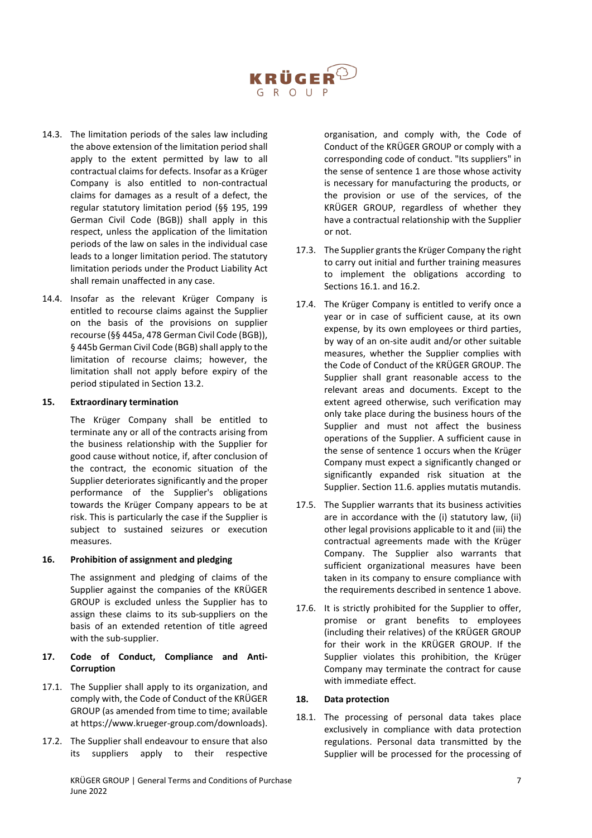

- 14.3. The limitation periods of the sales law including the above extension of the limitation period shall apply to the extent permitted by law to all contractual claims for defects. Insofar as a Krüger Company is also entitled to non-contractual claims for damages as a result of a defect, the regular statutory limitation period (§§ 195, 199 German Civil Code (BGB)) shall apply in this respect, unless the application of the limitation periods of the law on sales in the individual case leads to a longer limitation period. The statutory limitation periods under the Product Liability Act shall remain unaffected in any case.
- 14.4. Insofar as the relevant Krüger Company is entitled to recourse claims against the Supplier on the basis of the provisions on supplier recourse (§§ 445a, 478 German Civil Code (BGB)), § 445b German Civil Code (BGB) shall apply to the limitation of recourse claims; however, the limitation shall not apply before expiry of the period stipulated in Section 13.2.

#### **15. Extraordinary termination**

The Krüger Company shall be entitled to terminate any or all of the contracts arising from the business relationship with the Supplier for good cause without notice, if, after conclusion of the contract, the economic situation of the Supplier deteriorates significantly and the proper performance of the Supplier's obligations towards the Krüger Company appears to be at risk. This is particularly the case if the Supplier is subject to sustained seizures or execution measures.

#### **16. Prohibition of assignment and pledging**

The assignment and pledging of claims of the Supplier against the companies of the KRÜGER GROUP is excluded unless the Supplier has to assign these claims to its sub-suppliers on the basis of an extended retention of title agreed with the sub-supplier.

## **17. Code of Conduct, Compliance and Anti-Corruption**

- 17.1. The Supplier shall apply to its organization, and comply with, the Code of Conduct of the KRÜGER GROUP (as amended from time to time; available at https://www.krueger-group.com/downloads).
- 17.2. The Supplier shall endeavour to ensure that also its suppliers apply to their respective

organisation, and comply with, the Code of Conduct of the KRÜGER GROUP or comply with a corresponding code of conduct. "Its suppliers" in the sense of sentence 1 are those whose activity is necessary for manufacturing the products, or the provision or use of the services, of the KRÜGER GROUP, regardless of whether they have a contractual relationship with the Supplier or not.

- 17.3. The Supplier grants the Krüger Company the right to carry out initial and further training measures to implement the obligations according to Sections 16.1. and 16.2.
- 17.4. The Krüger Company is entitled to verify once a year or in case of sufficient cause, at its own expense, by its own employees or third parties, by way of an on-site audit and/or other suitable measures, whether the Supplier complies with the Code of Conduct of the KRÜGER GROUP. The Supplier shall grant reasonable access to the relevant areas and documents. Except to the extent agreed otherwise, such verification may only take place during the business hours of the Supplier and must not affect the business operations of the Supplier. A sufficient cause in the sense of sentence 1 occurs when the Krüger Company must expect a significantly changed or significantly expanded risk situation at the Supplier. Section 11.6. applies mutatis mutandis.
- 17.5. The Supplier warrants that its business activities are in accordance with the (i) statutory law, (ii) other legal provisions applicable to it and (iii) the contractual agreements made with the Krüger Company. The Supplier also warrants that sufficient organizational measures have been taken in its company to ensure compliance with the requirements described in sentence 1 above.
- 17.6. It is strictly prohibited for the Supplier to offer, promise or grant benefits to employees (including their relatives) of the KRÜGER GROUP for their work in the KRÜGER GROUP. If the Supplier violates this prohibition, the Krüger Company may terminate the contract for cause with immediate effect.

## **18. Data protection**

18.1. The processing of personal data takes place exclusively in compliance with data protection regulations. Personal data transmitted by the Supplier will be processed for the processing of